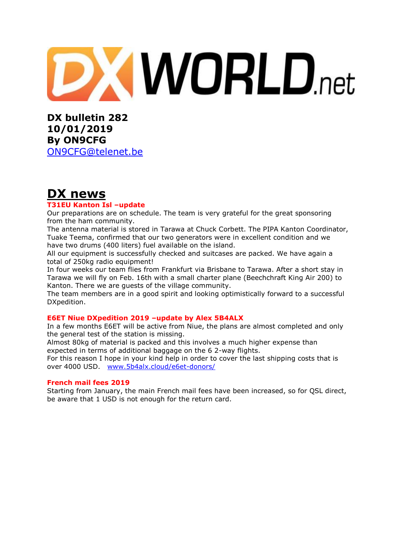# **XWORLD.net**

**DX bulletin 282 10/01/2019 By ON9CFG**  [ON9CFG@telenet.be](mailto:ON9CFG@telenet.be)

# **DX news**

## **T31EU Kanton Isl –update**

Our preparations are on schedule. The team is very grateful for the great sponsoring from the ham community.

The antenna material is stored in Tarawa at Chuck Corbett. The PIPA Kanton Coordinator, Tuake Teema, confirmed that our two generators were in excellent condition and we have two drums (400 liters) fuel available on the island.

All our equipment is successfully checked and suitcases are packed. We have again a total of 250kg radio equipment!

In four weeks our team flies from Frankfurt via Brisbane to Tarawa. After a short stay in Tarawa we will fly on Feb. 16th with a small charter plane (Beechchraft King Air 200) to Kanton. There we are guests of the village community.

The team members are in a good spirit and looking optimistically forward to a successful DXpedition.

### **E6ET Niue DXpedition 2019 –update by Alex 5B4ALX**

In a few months E6ET will be active from Niue, the plans are almost completed and only the general test of the station is missing.

Almost 80kg of material is packed and this involves a much higher expense than expected in terms of additional baggage on the 6 2-way flights.

For this reason I hope in your kind help in order to cover the last shipping costs that is over 4000 USD. [www.5b4alx.cloud/e6et-donors/](http://www.5b4alx.cloud/e6et-donors/)

#### **French mail fees 2019**

Starting from January, the main French mail fees have been increased, so for QSL direct, be aware that 1 USD is not enough for the return card.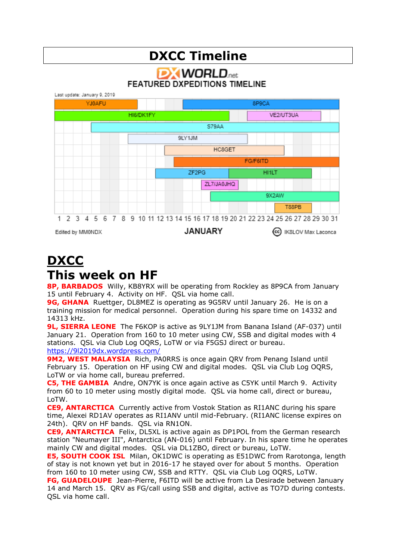# **DXCC Timeline DX WORLD FEATURED DXPEDITIONS TIMELINE** Last update: January 9, 2019 YJ0AFU 8P9CA



# **DXCC This week on HF**

**8P, BARBADOS** Willy, KB8YRX will be operating from Rockley as 8P9CA from January 15 until February 4. Activity on HF. QSL via home call.

**9G, GHANA** Ruettger, DL8MEZ is operating as 9G5RV until January 26. He is on a training mission for medical personnel. Operation during his spare time on 14332 and 14313 kHz.

**9L, SIERRA LEONE** The F6KOP is active as 9LY1JM from Banana Island (AF-037) until January 21. Operation from 160 to 10 meter using CW, SSB and digital modes with 4 stations. QSL via Club Log OQRS, LoTW or via F5GSJ direct or bureau. <https://9l2019dx.wordpress.com/>

**9M2, WEST MALAYSIA** Rich, PA0RRS is once again QRV from Penang Island until February 15. Operation on HF using CW and digital modes. QSL via Club Log OQRS, LoTW or via home call, bureau preferred.

**C5, THE GAMBIA** Andre, ON7YK is once again active as C5YK until March 9. Activity from 60 to 10 meter using mostly digital mode. QSL via home call, direct or bureau, LoTW.

**CE9, ANTARCTICA** Currently active from Vostok Station as [RI1ANC](https://dx-world.net/ri1anc-vostok-base-antarctica/) during his spare time, Alexei RD1AV operates as RI1ANV until mid-February. (RI1ANC license expires on 24th). QRV on HF bands. QSL via RN1ON.

**CE9, ANTARCTICA** Felix, DL5XL is active again as DP1POL from the German research station "Neumayer III", Antarctica (AN-016) until February. In his spare time he operates mainly CW and digital modes. QSL via DL1ZBO, direct or bureau, LoTW.

**E5, SOUTH COOK ISL** Milan, OK1DWC is operating as E51DWC from Rarotonga, length of stay is not known yet but in 2016-17 he stayed over for about 5 months. Operation from 160 to 10 meter using CW, SSB and RTTY. QSL via Club Log OQRS, LoTW.

**FG, GUADELOUPE** Jean-Pierre, F6ITD will be active from La Desirade between January 14 and March 15. QRV as FG/call using SSB and digital, active as TO7D during contests. QSL via home call.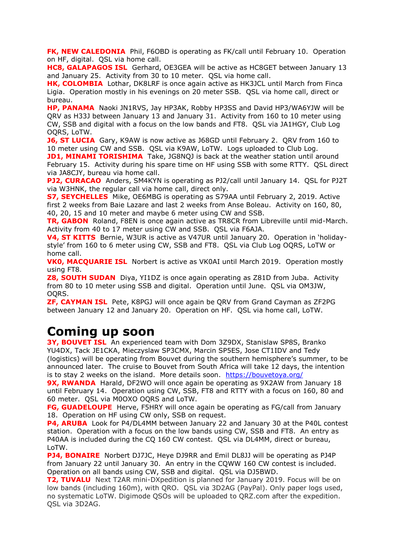**FK, NEW CALEDONIA** Phil, F6OBD is operating as FK/call until February 10. Operation on HF, digital. QSL via home call.

**HC8, GALAPAGOS ISL** Gerhard, OE3GEA will be active as HC8GET between January 13 and January 25. Activity from 30 to 10 meter. QSL via home call.

**HK, COLOMBIA** Lothar, DK8LRF is once again active as HK3JCL until March from Finca Ligia. Operation mostly in his evenings on 20 meter SSB. QSL via home call, direct or bureau.

**HP, PANAMA** Naoki JN1RVS, Jay HP3AK, Robby HP3SS and David HP3/WA6YJW will be QRV as H33J between January 13 and January 31. Activity from 160 to 10 meter using CW, SSB and digital with a focus on the low bands and FT8. QSL via JA1HGY, Club Log OQRS, LoTW.

**J6, ST LUCIA** Gary, K9AW is now active as J68GD until February 2. QRV from 160 to 10 meter using CW and SSB. QSL via K9AW, LoTW. Logs uploaded to Club Log.

**JD1, MINAMI TORISHIMA** Take, JG8NQJ is back at the weather station until around February 15. Activity during his spare time on HF using SSB with some RTTY. QSL direct via JA8CJY, bureau via home call.

**PJ2, CURACAO** Anders, SM4KYN is operating as PJ2/call until January 14. OSL for PJ2T via W3HNK, the regular call via home call, direct only.

**S7, SEYCHELLES** Mike, OE6MBG is operating as S79AA until February 2, 2019. Active first 2 weeks from Baie Lazare and last 2 weeks from Anse Boleau. Activity on 160, 80, 40, 20, 15 and 10 meter and maybe 6 meter using CW and SSB.

**TR, GABON** Roland, F8EN is once again active as TR8CR from Libreville until mid-March. Activity from 40 to 17 meter using CW and SSB. QSL via F6AJA.

**V4, ST KITTS** Bernie, W3UR is active as V47UR until January 20. Operation in 'holidaystyle' from 160 to 6 meter using CW, SSB and FT8. QSL via Club Log OQRS, LoTW or home call.

**VK0, MACQUARIE ISL** Norbert is active as VK0AI until March 2019. Operation mostly using FT8.

**Z8, SOUTH SUDAN** Diya, YI1DZ is once again operating as Z81D from Juba. Activity from 80 to 10 meter using SSB and digital. Operation until June. QSL via OM3JW, OQRS.

**ZF, CAYMAN ISL** Pete, K8PGJ will once again be QRV from Grand Cayman as ZF2PG between January 12 and January 20. Operation on HF. QSL via home call, LoTW.

# **Coming up soon**

**3Y, BOUVET ISL** An experienced team with Dom 3Z9DX, Stanislaw SP8S, Branko YU4DX, Tack JE1CKA, Mieczyslaw SP3CMX, Marcin SP5ES, Jose CT1IDV and Tedy (logistics) will be operating from Bouvet during the southern hemisphere's summer, to be announced later. The cruise to Bouvet from South Africa will take 12 days, the intention is to stay 2 weeks on the island. More details soon. <https://bouvetoya.org/>

**9X, RWANDA** Harald, DF2WO will once again be operating as 9X2AW from January 18 until February 14. Operation using CW, SSB, FT8 and RTTY with a focus on 160, 80 and 60 meter. QSL via M0OXO OQRS and LoTW.

**FG, GUADELOUPE** Herve, F5HRY will once again be operating as FG/call from January 18. Operation on HF using CW only, SSB on request.

**P4, ARUBA** Look for P4/DL4MM between January 22 and January 30 at the P40L contest station. Operation with a focus on the low bands using CW, SSB and FT8. An entry as P40AA is included during the CQ 160 CW contest. QSL via DL4MM, direct or bureau, LoTW.

**PJ4, BONAIRE** Norbert DJ7JC, Heye DJ9RR and Emil DL8JJ will be operating as PJ4P from January 22 until January 30. An entry in the CQWW 160 CW contest is included. Operation on all bands using CW, SSB and digital. QSL via DJ5BWD.

**T2, TUVALU** Next T2AR mini-DXpedition is planned for January 2019. Focus will be on low bands (including 160m), with QRO. QSL via 3D2AG (PayPal). Only paper logs used, no systematic LoTW. Digimode QSOs will be uploaded to QRZ.com after the expedition. QSL via 3D2AG.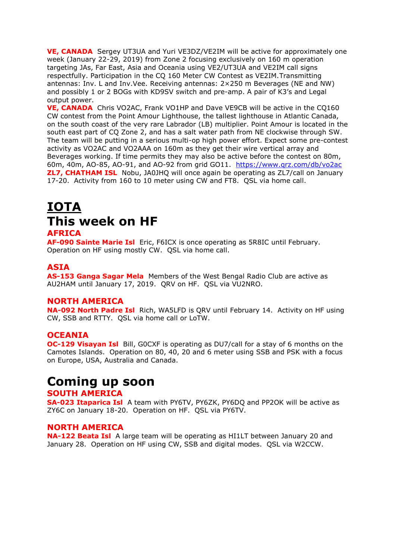**VE, CANADA** Sergey UT3UA and Yuri VE3DZ/VE2IM will be active for approximately one week (January 22-29, 2019) from Zone 2 focusing exclusively on 160 m operation targeting JAs, Far East, Asia and Oceania using VE2/UT3UA and VE2IM call signs respectfully. Participation in the CQ 160 Meter CW Contest as VE2IM.Transmitting antennas: Inv. L and Inv.Vee. Receiving antennas: 2×250 m Beverages (NE and NW) and possibly 1 or 2 BOGs with KD9SV switch and pre-amp. A pair of K3's and Legal output power.

**VE, CANADA** Chris VO2AC, Frank VO1HP and Dave VE9CB will be active in the CQ160 CW contest from the Point Amour Lighthouse, the tallest lighthouse in Atlantic Canada, on the south coast of the very rare Labrador (LB) multiplier. Point Amour is located in the south east part of CQ Zone 2, and has a salt water path from NE clockwise through SW. The team will be putting in a serious multi-op high power effort. Expect some pre-contest activity as VO2AC and VO2AAA on 160m as they get their wire vertical array and Beverages working. If time permits they may also be active before the contest on 80m, 60m, 40m, AO-85, AO-91, and AO-92 from grid GO11. <https://www.qrz.com/db/vo2ac> **ZL7, CHATHAM ISL** Nobu, JA0JHQ will once again be operating as ZL7/call on January 17-20. Activity from 160 to 10 meter using CW and FT8. QSL via home call.

# **IOTA This week on HF**

## **AFRICA**

**AF-090 Sainte Marie Isl** Eric, F6ICX is once operating as 5R8IC until February. Operation on HF using mostly CW. QSL via home call.

## **ASIA**

**AS-153 Ganga Sagar Mela** Members of the West Bengal Radio Club are active as AU2HAM until January 17, 2019. QRV on HF. QSL via VU2NRO.

### **NORTH AMERICA**

**NA-092 North Padre Isl** Rich, WA5LFD is QRV until February 14. Activity on HF using CW, SSB and RTTY. QSL via home call or LoTW.

## **OCEANIA**

**OC-129 Visayan Isl** Bill, G0CXF is operating as DU7/call for a stay of 6 months on the Camotes Islands. Operation on 80, 40, 20 and 6 meter using SSB and PSK with a focus on Europe, USA, Australia and Canada.

# **Coming up soon**

#### **SOUTH AMERICA**

**SA-023 Itaparica Isl** A team with PY6TV, PY6ZK, PY6DQ and PP2OK will be active as ZY6C on January 18-20. Operation on HF. QSL via PY6TV.

### **NORTH AMERICA**

**NA-122 Beata Isl** A large team will be operating as HI1LT between January 20 and January 28. Operation on HF using CW, SSB and digital modes. QSL via W2CCW.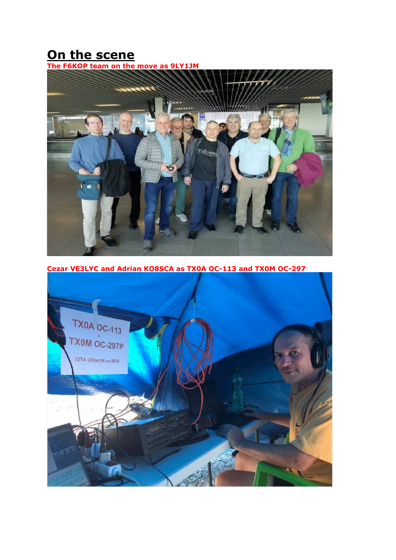# **On the scene**



**Cezar VE3LYC and Adrian KO8SCA as TX0A OC-113 and TX0M OC-297**

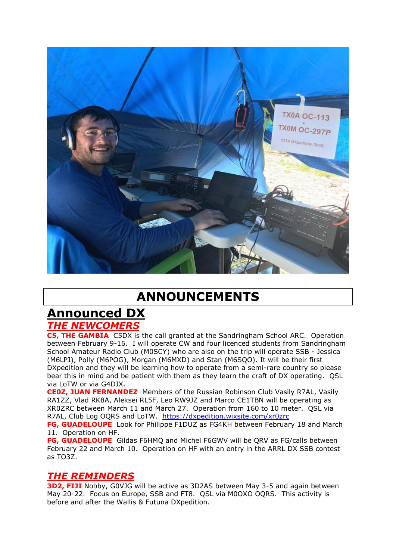

# **ANNOUNCEMENTS**

# **Announced DX** *THE NEWCOMERS*

**C5, THE GAMBIA** C5DX is the call granted at the Sandringham School ARC. Operation between February 9-16. I will operate CW and four licenced students from Sandringham School Amateur Radio Club (M0SCY) who are also on the trip will operate SSB - Jessica (M6LPJ), Polly (M6POG), Morgan (M6MXD) and Stan (M6SQO). It will be their first DXpedition and they will be learning how to operate from a semi-rare country so please bear this in mind and be patient with them as they learn the craft of DX operating. QSL via LoTW or via G4DJX.

**CE0Z, JUAN FERNANDEZ** Members of the Russian Robinson Club Vasily R7AL, Vasily RA1ZZ, Vlad RK8A, Aleksei RL5F, Leo RW9JZ and Marco CE1TBN will be operating as XR0ZRC between March 11 and March 27. Operation from 160 to 10 meter. QSL via R7AL, Club Log OQRS and LoTW. <https://dxpedition.wixsite.com/xr0zrc>

**FG, GUADELOUPE** Look for Philippe F1DUZ as FG4KH between February 18 and March 11. Operation on HF.

**FG, GUADELOUPE** Gildas F6HMQ and Michel F6GWV will be QRV as FG/calls between February 22 and March 10. Operation on HF with an entry in the ARRL DX SSB contest as TO3Z.

# *THE REMINDERS*

**3D2, FIJI** Nobby, G0VJG will be active as 3D2AS between May 3-5 and again between May 20-22. Focus on Europe, SSB and FT8. QSL via M0OXO OQRS. This activity is before and after the Wallis & Futuna DXpedition.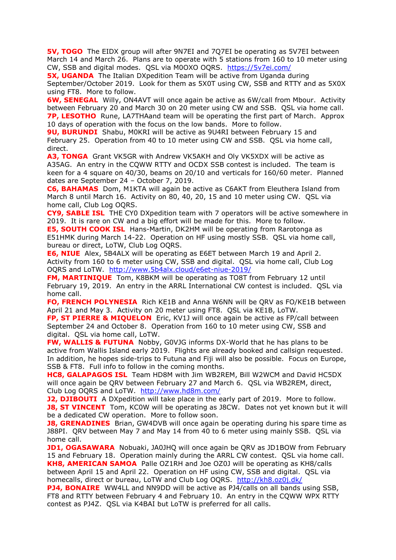**5V, TOGO** The EIDX group will after 9N7EI and 7Q7EI be operating as 5V7EI between March 14 and March 26. Plans are to operate with 5 stations from 160 to 10 meter using CW, SSB and digital modes. QSL via M0OXO OQRS. <https://5v7ei.com/>

**5X, UGANDA** The Italian DXpedition Team will be active from Uganda during September/October 2019. Look for them as 5X0T using CW, SSB and RTTY and as 5X0X using FT8. More to follow.

**6W, SENEGAL** Willy, ON4AVT will once again be active as 6W/call from Mbour. Activity between February 20 and March 30 on 20 meter using CW and SSB. QSL via home call. **7P, LESOTHO** Rune, LA7THAand team will be operating the first part of March. Approx 10 days of operation with the focus on the low bands. More to follow.

**9U, BURUNDI** Shabu, M0KRI will be active as 9U4RI between February 15 and February 25. Operation from 40 to 10 meter using CW and SSB. QSL via home call, direct.

**A3, TONGA** Grant VK5GR with Andrew VK5AKH and Oly VK5XDX will be active as A35AG. An entry in the CQWW RTTY and OCDX SSB contest is included. The team is keen for a 4 square on 40/30, beams on 20/10 and verticals for 160/60 meter. Planned dates are September 24 – October 7, 2019.

**C6, BAHAMAS** Dom, M1KTA will again be active as C6AKT from Eleuthera Island from March 8 until March 16. Activity on 80, 40, 20, 15 and 10 meter using CW. QSL via home call, Club Log OQRS.

**CY9, SABLE ISL** THE CY0 DXpedition team with 7 operators will be active somewhere in 2019. It is rare on CW and a big effort will be made for this. More to follow.

**E5, SOUTH COOK ISL** Hans-Martin, DK2HM will be operating from Rarotonga as E51HMK during March 14-22. Operation on HF using mostly SSB. QSL via home call, bureau or direct, LoTW, Club Log OQRS.

**E6, NIUE** Alex, 5B4ALX will be operating as E6ET between March 19 and April 2. Activity from 160 to 6 meter using CW, SSB and digital. QSL via home call, Club Log OQRS and LoTW. <http://www.5b4alx.cloud/e6et-niue-2019/>

**FM, MARTINIQUE** Tom, K8BKM will be operating as TO8T from February 12 until February 19, 2019. An entry in the ARRL International CW contest is included. QSL via home call.

**FO, FRENCH POLYNESIA** Rich KE1B and Anna W6NN will be QRV as FO/KE1B between April 21 and May 3. Activity on 20 meter using FT8. QSL via KE1B, LoTW.

**FP, ST PIERRE & MIQUELON** Eric, KV1J will once again be active as FP/call between September 24 and October 8. Operation from 160 to 10 meter using CW, SSB and digital. QSL via home call, LoTW.

**FW, WALLIS & FUTUNA** Nobby, G0VJG informs DX-World that he has plans to be active from Wallis Island early 2019. Flights are already booked and callsign requested. In addition, he hopes side-trips to Futuna and Fiji will also be possible. Focus on Europe, SSB & FT8. Full info to follow in the coming months.

**HC8, GALAPAGOS ISL** Team HD8M with Jim WB2REM, Bill W2WCM and David HC5DX will once again be QRV between February 27 and March 6. QSL via WB2REM, direct, Club Log OQRS and LoTW. <http://www.hd8m.com/>

**J2, DJIBOUTI** A DXpedition will take place in the early part of 2019. More to follow. **J8, ST VINCENT** Tom, KC0W will be operating as J8CW. Dates not yet known but it will be a dedicated CW operation. More to follow soon.

**J8, GRENADINES** Brian, GW4DVB will once again be operating during his spare time as J88PI. QRV between May 7 and May 14 from 40 to 6 meter using mainly SSB. QSL via home call.

**JD1, OGASAWARA** Nobuaki, JA0JHQ will once again be QRV as JD1BOW from February 15 and February 18. Operation mainly during the ARRL CW contest. QSL via home call. **KH8, AMERICAN SAMOA** Palle OZ1RH and Joe OZ0J will be operating as KH8/calls between April 15 and April 22. Operation on HF using CW, SSB and digital. QSL via homecalls, direct or bureau, LoTW and Club Log OQRS. <http://kh8.oz0j.dk/>

**PJ4, BONAIRE** WW4LL and NN9DD will be active as PJ4/calls on all bands using SSB, FT8 and RTTY between February 4 and February 10. An entry in the CQWW WPX RTTY contest as PJ4Z. QSL via K4BAI but LoTW is preferred for all calls.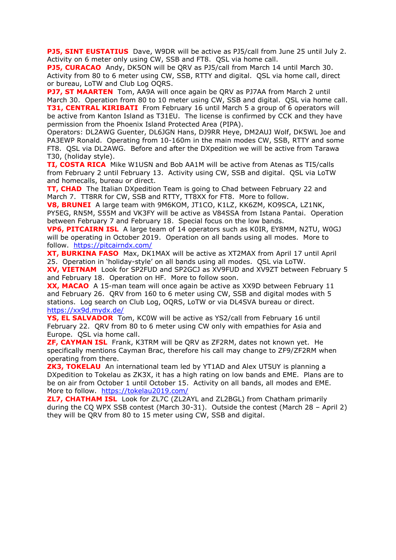**PJ5, SINT EUSTATIUS** Dave, W9DR will be active as PJ5/call from June 25 until July 2. Activity on 6 meter only using CW, SSB and FT8. QSL via home call.

**PJ5, CURACAO** Andy, DK5ON will be QRV as PJ5/call from March 14 until March 30. Activity from 80 to 6 meter using CW, SSB, RTTY and digital. QSL via home call, direct or bureau, LoTW and Club Log OQRS.

**PJ7, ST MAARTEN** Tom, AA9A will once again be QRV as PJ7AA from March 2 until March 30. Operation from 80 to 10 meter using CW, SSB and digital. QSL via home call. **T31, CENTRAL KIRIBATI** From February 16 until March 5 a group of 6 operators will be active from Kanton Island as T31EU. The license is confirmed by CCK and they have permission from the Phoenix Island Protected Area (PIPA).

Operators: DL2AWG Guenter, DL6JGN Hans, DJ9RR Heye, DM2AUJ Wolf, DK5WL Joe and PA3EWP Ronald. Operating from 10-160m in the main modes CW, SSB, RTTY and some FT8. QSL via DL2AWG. Before and after the DXpedition we will be active from Tarawa T30, (holiday style).

**TI, COSTA RICA** Mike W1USN and Bob AA1M will be active from Atenas as TI5/calls from February 2 until February 13. Activity using CW, SSB and digital. QSL via LoTW and homecalls, bureau or direct.

**TT, CHAD** The Italian DXpedition Team is going to Chad between February 22 and March 7. TT8RR for CW, SSB and RTTY, TT8XX for FT8. More to follow.

**V8, BRUNEI** A large team with 9M6KOM, JT1CO, K1LZ, KK6ZM, KO9SCA, LZ1NK, PY5EG, RN5M, S55M and VK3FY will be active as V84SSA from Istana Pantai. Operation between February 7 and February 18. Special focus on the low bands.

**VP6, PITCAIRN ISL** A large team of 14 operators such as K0IR, EY8MM, N2TU, W0GJ will be operating in October 2019. Operation on all bands using all modes. More to follow. <https://pitcairndx.com/>

**XT, BURKINA FASO** Max, DK1MAX will be active as XT2MAX from April 17 until April 25. Operation in 'holiday-style' on all bands using all modes. QSL via LoTW.

**XV, VIETNAM** Look for SP2FUD and SP2GCJ as XV9FUD and XV9ZT between February 5 and February 18. Operation on HF. More to follow soon.

**XX, MACAO** A 15-man team will once again be active as XX9D between February 11 and February 26. QRV from 160 to 6 meter using CW, SSB and digital modes with 5 stations. Log search on Club Log, OQRS, LoTW or via DL4SVA bureau or direct. <https://xx9d.mydx.de/>

**YS, EL SALVADOR** Tom, KC0W will be active as YS2/call from February 16 until February 22. QRV from 80 to 6 meter using CW only with empathies for Asia and Europe. QSL via home call.

**ZF, CAYMAN ISL** Frank, K3TRM will be QRV as ZF2RM, dates not known yet. He specifically mentions Cayman Brac, therefore his call may change to ZF9/ZF2RM when operating from there.

**ZK3, TOKELAU** An international team led by YT1AD and Alex UT5UY is planning a DXpedition to Tokelau as ZK3X, it has a high rating on low bands and EME. Plans are to be on air from October 1 until October 15. Activity on all bands, all modes and EME. More to follow. <https://tokelau2019.com/>

**ZL7, CHATHAM ISL** Look for ZL7C (ZL2AYL and ZL2BGL) from Chatham primarily during the CQ WPX SSB contest (March 30-31). Outside the contest (March 28 – April 2) they will be QRV from 80 to 15 meter using CW, SSB and digital.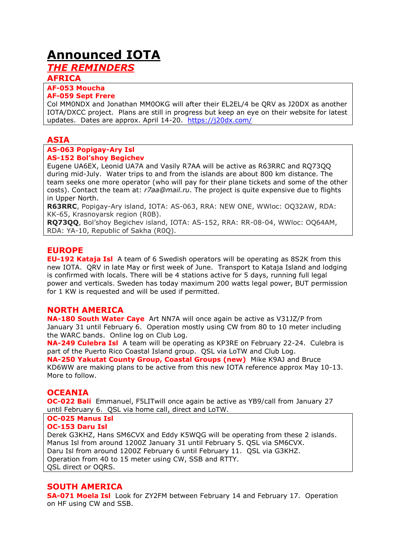# **Announced IOTA**

# *THE REMINDERS*

# **AFRICA**

## **AF-053 Moucha**

#### **AF-059 Sept Frere**

Col MM0NDX and Jonathan MM0OKG will after their EL2EL/4 be QRV as J20DX as another IOTA/DXCC project. Plans are still in progress but keep an eye on their website for latest updates. Dates are approx. April 14-20. <https://j20dx.com/>

# **ASIA**

#### **AS-063 Popigay-Ary Isl AS-152 Bol'shoy Begichev**

Eugene UA6EX, Leonid UA7A and Vasily R7AA will be active as R63RRC and RQ73QQ during mid-July. Water trips to and from the islands are about 800 km distance. The team seeks one more operator (who will pay for their plane tickets and some of the other costs). Contact the team at: *r7aa@mail.ru*. The project is quite expensive due to flights in Upper North.

**R63RRC**, Popigay-Ary island, IOTA: AS-063, RRA: NEW ONE, WWloc: OQ32AW, RDA: KK-65, Krasnoyarsk region (R0B).

**RQ73QQ**, Bol'shoy Begichev island, IOTA: AS-152, RRA: RR-08-04, WWloc: OQ64AM, RDA: YA-10, Republic of Sakha (R0Q).

## **EUROPE**

**EU-192 Kataja Isl** A team of 6 Swedish operators will be operating as 8S2K from this new IOTA. QRV in late May or first week of June. Transport to Kataja Island and lodging is confirmed with locals. There will be 4 stations active for 5 days, running full legal power and verticals. Sweden has today maximum 200 watts legal power, BUT permission for 1 KW is requested and will be used if permitted.

## **NORTH AMERICA**

**NA-180 South Water Caye** Art NN7A will once again be active as V31JZ/P from January 31 until February 6. Operation mostly using CW from 80 to 10 meter including the WARC bands. Online log on Club Log.

**NA-249 Culebra Isl** A team will be operating as KP3RE on February 22-24. Culebra is part of the Puerto Rico Coastal Island group. QSL via LoTW and Club Log. **NA-250 Yakutat County Group, Coastal Groups (new)** Mike K9AJ and Bruce KD6WW are making plans to be active from this new IOTA reference approx May 10-13. More to follow.

## **OCEANIA**

**OC-022 Bali** Emmanuel, F5LITwill once again be active as YB9/call from January 27 until February 6. QSL via home call, direct and LoTW.

#### **OC-025 Manus Isl OC-153 Daru Isl**

Derek G3KHZ, Hans SM6CVX and Eddy K5WQG will be operating from these 2 islands. Manus Isl from around 1200Z January 31 until February 5. QSL via SM6CVX. Daru Isl from around 1200Z February 6 until February 11. QSL via G3KHZ. Operation from 40 to 15 meter using CW, SSB and RTTY. QSL direct or OQRS.

## **SOUTH AMERICA**

**SA-071 Moela Isl** Look for ZY2FM between February 14 and February 17. Operation on HF using CW and SSB.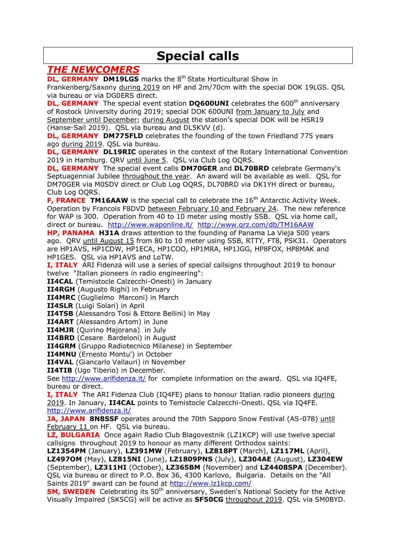# **Special calls**

# *THE NEWCOMERS*

**DL, GERMANY DM19LGS** marks the 8<sup>th</sup> State Horticultural Show in

Frankenberg/Saxony during 2019 on HF and 2m/70cm with the special DOK 19LGS. QSL via bureau or via DG0ERS direct.

**DL, GERMANY** The special event station **DQ600UNI** celebrates the 600<sup>th</sup> anniversary of Rostock University during 2019; special DOK 600UNI from January to July and September until December; during August the station's special DOK will be HSR19 (Hanse-Sail 2019). QSL via bureau and DL5KVV (d).

**DL, GERMANY DM775FLD** celebrates the founding of the town Friedland 775 years ago during 2019. QSL via bureau.

**DL, GERMANY DL19RIC** operates in the context of the Rotary International Convention 2019 in Hamburg. QRV until June 5. QSL via Club Log OQRS.

**DL, GERMANY** The special event calls **DM70GER** and **DL70BRD** celebrate Germany's Septuagennial Jubilee throughout the year. An award will be available as well. QSL for DM70GER via M0SDV direct or Club Log OQRS, DL70BRD via DK1YH direct or bureau, Club Log OQRS.

**F, FRANCE TM16AAW** is the special call to celebrate the 16<sup>th</sup> Antarctic Activity Week. Operation by Francois F8DVD between February 10 and February 24. The new reference for WAP is 300. Operation from 40 to 10 meter using mostly SSB. QSL via home call, direct or bureau. <http://www.waponline.it/><http://www.qrz.com/db/TM16AAW>

**HP, PANAMA H31A** draws attention to the founding of Panama La Vieja 500 years ago. QRV until August 15 from 80 to 10 meter using SSB, RTTY, FT8, PSK31. Operators are HP1AVS, HP1CDW, HP1ECA, HP1COO, HP1MRA, HP1JGG, HP8FOX, HP8MAK and HP1GES. QSL via HP1AVS and LoTW.

**I, ITALY** ARI Fidenza will use a series of special callsigns throughout 2019 to honour twelve "Italian pioneers in radio engineering":

**II4CAL** (Temistocle Calzecchi-Onesti) in January

**II4RGH** (Augusto Righi) in February

**II4MRC** (Guglielmo Marconi) in March

**II4SLR** (Luigi Solari) in April

**II4TSB** (Alessandro Tosi & Ettore Bellini) in May

**II4ART** (Alessandro Artom) in June

**II4MJR** (Quirino Majorana) in July

**II4BRD** (Cesare Bardeloni) in August

**II4GRM** (Gruppo Radiotecnico Milanese) in September

**II4MNU** (Ernesto Montu') in October

**II4VAL** (Giancarlo Vallauri) in November

**II4TIB** (Ugo Tiberio) in December.

See<http://www.arifidenza.it/> for complete information on the award. QSL via IQ4FE, bureau or direct.

**I, ITALY** The ARI Fidenza Club (IQ4FE) plans to honour Italian radio pioneers during 2019. In January, **II4CAL** points to Temistocle Calzecchi-Onesti. QSL via IQ4FE. <http://www.arifidenza.it/>

**JA, JAPAN 8N8SSF** operates around the 70th Sapporo Snow Festival (AS-078) until February 11 on HF. QSL via bureau.

**LZ, BULGARIA** Once again Radio Club Blagovestnik (LZ1KCP) will use twelve special callsigns throughout 2019 to honour as many different Orthodox saints:

**LZ1354PM** (January), **LZ391MW** (February), **LZ818PT** (March), **LZ117ML** (April), **LZ497OM** (May), **LZ815NI** (June), **LZ1809PNS** (July), **LZ304AE** (August), **LZ304EW** (September), **LZ311HI** (October), **LZ365BM** (November) and **LZ4408SPA** (December). QSL via bureau or direct to P.O. Box 36, 4300 Karlovo, Bulgaria. Details on the "All Saints 2019" award can be found at<http://www.lz1kcp.com/>

**SM, SWEDEN** Celebrating its 50<sup>th</sup> anniversary, Sweden's National Society for the Active Visually Impaired (SK5CG) will be active as **SF50CG** throughout 2019. QSL via SM0BYD.